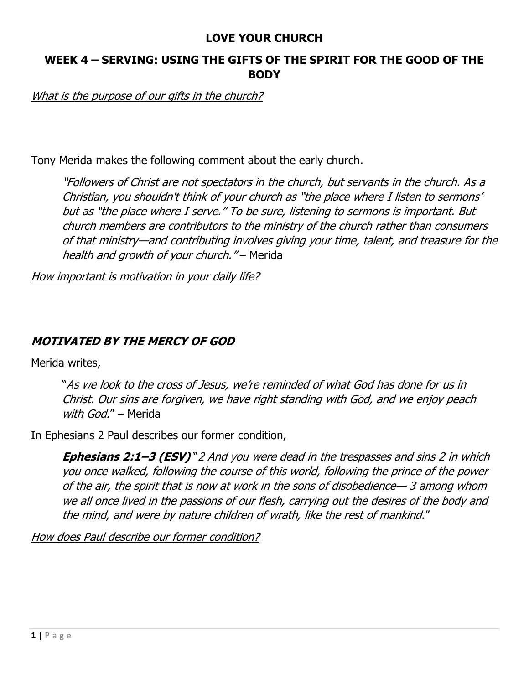### **LOVE YOUR CHURCH**

## **WEEK 4 – SERVING: USING THE GIFTS OF THE SPIRIT FOR THE GOOD OF THE BODY**

What is the purpose of our gifts in the church?

Tony Merida makes the following comment about the early church.

"Followers of Christ are not spectators in the church, but servants in the church. As a Christian, you shouldn't think of your church as "the place where I listen to sermons' but as "the place where I serve." To be sure, listening to sermons is important. But church members are contributors to the ministry of the church rather than consumers of that ministry—and contributing involves giving your time, talent, and treasure for the health and growth of your church." – Merida

How important is motivation in your daily life?

## **MOTIVATED BY THE MERCY OF GOD**

Merida writes,

"As we look to the cross of Jesus, we're reminded of what God has done for us in Christ. Our sins are forgiven, we have right standing with God, and we enjoy peach with God." - Merida

In Ephesians 2 Paul describes our former condition,

**Ephesians 2:1–3 (ESV)** "2 And you were dead in the trespasses and sins 2 in which you once walked, following the course of this world, following the prince of the power of the air, the spirit that is now at work in the sons of disobedience— 3 among whom we all once lived in the passions of our flesh, carrying out the desires of the body and the mind, and were by nature children of wrath, like the rest of mankind."

How does Paul describe our former condition?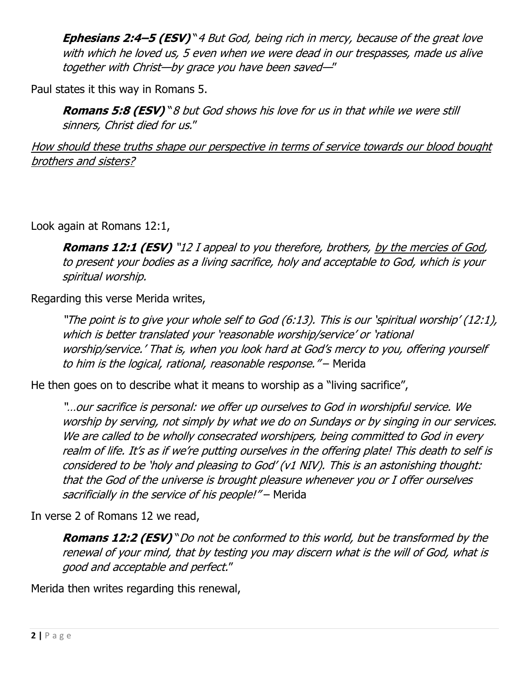**Ephesians 2:4–5 (ESV)** "4 But God, being rich in mercy, because of the great love with which he loved us, 5 even when we were dead in our trespasses, made us alive together with Christ—by grace you have been saved—"

Paul states it this way in Romans 5.

**Romans 5:8 (ESV)** "8 but God shows his love for us in that while we were still sinners, Christ died for us."

How should these truths shape our perspective in terms of service towards our blood bought brothers and sisters?

Look again at Romans 12:1,

**Romans 12:1 (ESV)** "12 I appeal to you therefore, brothers, by the mercies of God, to present your bodies as a living sacrifice, holy and acceptable to God, which is your spiritual worship.

Regarding this verse Merida writes,

"The point is to give your whole self to God (6:13). This is our 'spiritual worship' (12:1), which is better translated your 'reasonable worship/service' or 'rational worship/service.' That is, when you look hard at God's mercy to you, offering yourself to him is the logical, rational, reasonable response." – Merida

He then goes on to describe what it means to worship as a "living sacrifice",

"…our sacrifice is personal: we offer up ourselves to God in worshipful service. We worship by serving, not simply by what we do on Sundays or by singing in our services. We are called to be wholly consecrated worshipers, being committed to God in every realm of life. It's as if we're putting ourselves in the offering plate! This death to self is considered to be 'holy and pleasing to God' (v1 NIV). This is an astonishing thought: that the God of the universe is brought pleasure whenever you or I offer ourselves sacrificially in the service of his people!" – Merida

In verse 2 of Romans 12 we read,

**Romans 12:2 (ESV)** "Do not be conformed to this world, but be transformed by the renewal of your mind, that by testing you may discern what is the will of God, what is good and acceptable and perfect."

Merida then writes regarding this renewal,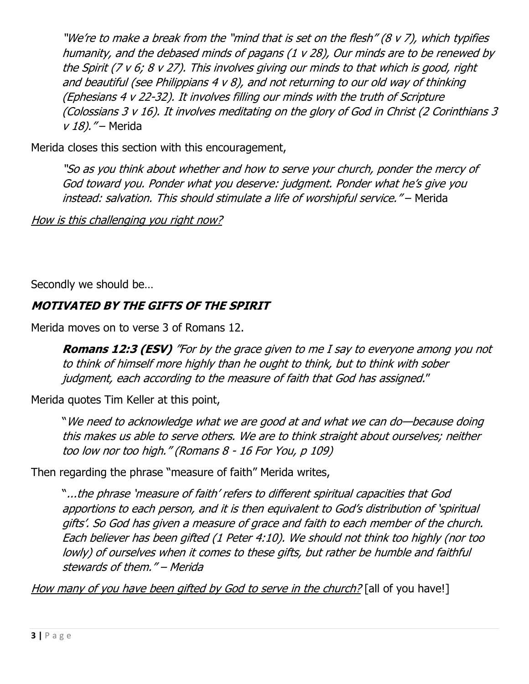"We're to make a break from the "mind that is set on the flesh" (8 v 7), which typifies humanity, and the debased minds of pagans (1 v 28), Our minds are to be renewed by the Spirit (7 v 6; 8 v 27). This involves giving our minds to that which is good, right and beautiful (see Philippians  $4 \vee 8$ ), and not returning to our old way of thinking (Ephesians 4 v 22-32). It involves filling our minds with the truth of Scripture (Colossians 3 v 16). It involves meditating on the glory of God in Christ (2 Corinthians 3 v 18). "- Merida

Merida closes this section with this encouragement,

"So as you think about whether and how to serve your church, ponder the mercy of God toward you. Ponder what you deserve: judgment. Ponder what he's give you instead: salvation. This should stimulate a life of worshipful service." – Merida

How is this challenging you right now?

Secondly we should be…

# **MOTIVATED BY THE GIFTS OF THE SPIRIT**

Merida moves on to verse 3 of Romans 12.

**Romans 12:3 (ESV)** "For by the grace given to me I say to everyone among you not to think of himself more highly than he ought to think, but to think with sober judgment, each according to the measure of faith that God has assigned."

Merida quotes Tim Keller at this point,

"We need to acknowledge what we are good at and what we can do—because doing this makes us able to serve others. We are to think straight about ourselves; neither too low nor too high." (Romans 8 - 16 For You, p 109)

Then regarding the phrase "measure of faith" Merida writes,

"...the phrase 'measure of faith' refers to different spiritual capacities that God apportions to each person, and it is then equivalent to God's distribution of 'spiritual gifts'. So God has given a measure of grace and faith to each member of the church. Each believer has been gifted (1 Peter 4:10). We should not think too highly (nor too lowly) of ourselves when it comes to these gifts, but rather be humble and faithful stewards of them." – Merida

How many of you have been gifted by God to serve in the church? [all of you have!]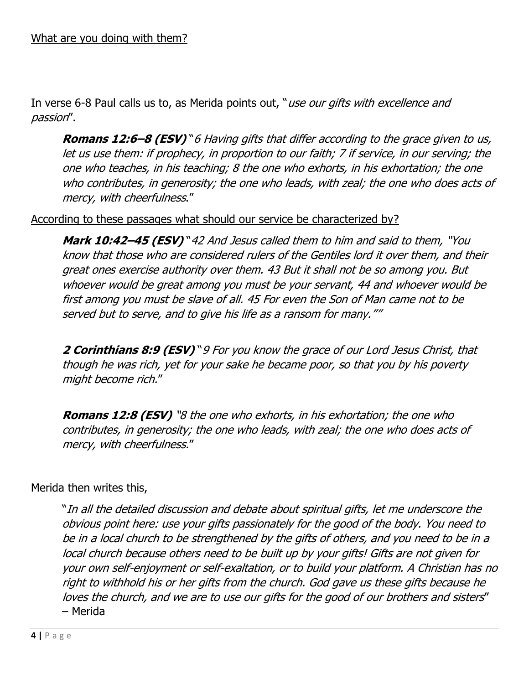In verse 6-8 Paul calls us to, as Merida points out, "use our gifts with excellence and passion".

**Romans 12:6–8 (ESV)** "6 Having gifts that differ according to the grace given to us, let us use them: if prophecy, in proportion to our faith; 7 if service, in our serving; the one who teaches, in his teaching; 8 the one who exhorts, in his exhortation; the one who contributes, in generosity; the one who leads, with zeal; the one who does acts of mercy, with cheerfulness."

#### According to these passages what should our service be characterized by?

**Mark 10:42–45 (ESV)** "42 And Jesus called them to him and said to them, "You know that those who are considered rulers of the Gentiles lord it over them, and their great ones exercise authority over them. 43 But it shall not be so among you. But whoever would be great among you must be your servant, 44 and whoever would be first among you must be slave of all. 45 For even the Son of Man came not to be served but to serve, and to give his life as a ransom for many.""

**2 Corinthians 8:9 (ESV)** "9 For you know the grace of our Lord Jesus Christ, that though he was rich, yet for your sake he became poor, so that you by his poverty might become rich."

**Romans 12:8 (ESV)** "8 the one who exhorts, in his exhortation; the one who contributes, in generosity; the one who leads, with zeal; the one who does acts of mercy, with cheerfulness."

### Merida then writes this,

"In all the detailed discussion and debate about spiritual gifts, let me underscore the obvious point here: use your gifts passionately for the good of the body. You need to be in a local church to be strengthened by the gifts of others, and you need to be in a local church because others need to be built up by your gifts! Gifts are not given for your own self-enjoyment or self-exaltation, or to build your platform. A Christian has no right to withhold his or her gifts from the church. God gave us these gifts because he loves the church, and we are to use our gifts for the good of our brothers and sisters" – Merida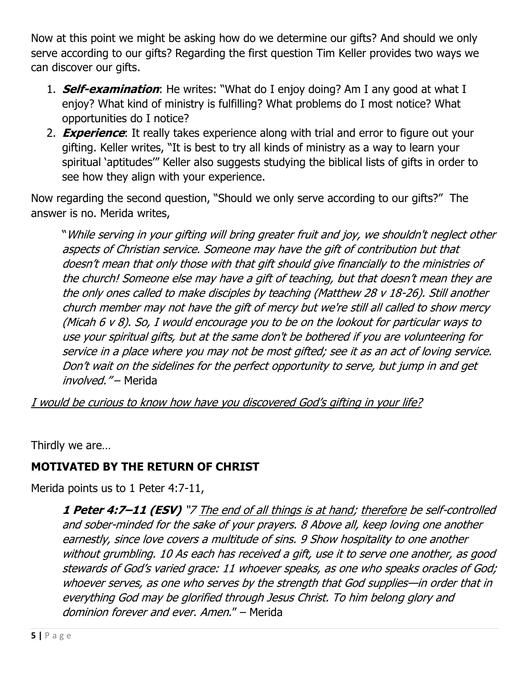Now at this point we might be asking how do we determine our gifts? And should we only serve according to our gifts? Regarding the first question Tim Keller provides two ways we can discover our gifts.

- 1. **Self-examination**: He writes: "What do I enjoy doing? Am I any good at what I enjoy? What kind of ministry is fulfilling? What problems do I most notice? What opportunities do I notice?
- 2. **Experience**: It really takes experience along with trial and error to figure out your gifting. Keller writes, "It is best to try all kinds of ministry as a way to learn your spiritual 'aptitudes'" Keller also suggests studying the biblical lists of gifts in order to see how they align with your experience.

Now regarding the second question, "Should we only serve according to our gifts?" The answer is no. Merida writes,

"While serving in your gifting will bring greater fruit and joy, we shouldn't neglect other aspects of Christian service. Someone may have the gift of contribution but that doesn't mean that only those with that gift should give financially to the ministries of the church! Someone else may have a gift of teaching, but that doesn't mean they are the only ones called to make disciples by teaching (Matthew 28 v 18-26). Still another church member may not have the gift of mercy but we're still all called to show mercy (Micah 6 v 8). So, I would encourage you to be on the lookout for particular ways to use your spiritual gifts, but at the same don't be bothered if you are volunteering for service in a place where you may not be most gifted; see it as an act of loving service. Don't wait on the sidelines for the perfect opportunity to serve, but jump in and get involved." - Merida

I would be curious to know how have you discovered God's gifting in your life?

Thirdly we are…

# **MOTIVATED BY THE RETURN OF CHRIST**

Merida points us to 1 Peter 4:7-11,

**1 Peter 4:7–11 (ESV)** "7 The end of all things is at hand; therefore be self-controlled and sober-minded for the sake of your prayers. 8 Above all, keep loving one another earnestly, since love covers a multitude of sins. 9 Show hospitality to one another without grumbling. 10 As each has received a gift, use it to serve one another, as good stewards of God's varied grace: 11 whoever speaks, as one who speaks oracles of God; whoever serves, as one who serves by the strength that God supplies—in order that in everything God may be glorified through Jesus Christ. To him belong glory and dominion forever and ever. Amen." – Merida